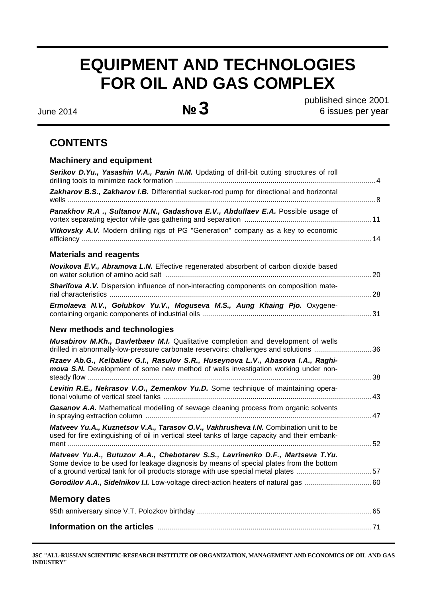# **EQUIPMENT AND TECHNOLOGIES FOR OIL AND GAS COMPLEX**

June 2014 **№ 3** 

published since 2001 6 issues per year

# **CONTENTS**

# **Machinery and equipment**

| drilled in abnormally-low-pressure carbonate reservoirs: challenges and solutions 36 |
|--------------------------------------------------------------------------------------|
|                                                                                      |
|                                                                                      |
|                                                                                      |
|                                                                                      |
|                                                                                      |
| of a ground vertical tank for oil products storage with use special metal plates 57  |
|                                                                                      |
|                                                                                      |
|                                                                                      |
|                                                                                      |
|                                                                                      |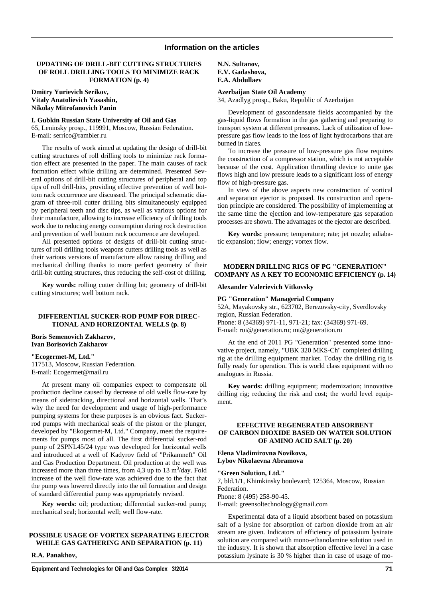#### **UPDATING OF DRILL-BIT CUTTING STRUCTURES OF ROLL DRILLING TOOLS TO MINIMIZE RACK FORMATION (p. 4)**

**Dmitry Yurievich Serikov, Vitaly Anatolievich Yasashin, Nikolay Mitrofanovich Panin** 

**I. Gubkin Russian State University of Oil and Gas** 

65, Leninsky prosp., 119991, Moscow, Russian Federation. Е-mail: serrico@rambler.ru

The results of work aimed at updating the design of drill-bit cutting structures of roll drilling tools to minimize rack formation effect are presented in the paper. The main causes of rack formation effect while drilling are determined. Presented Several options of drill-bit cutting structures of peripheral and top tips of roll drill-bits, providing effective prevention of well bottom rack occurrence are discussed. The principal schematic diagram of three-roll cutter drilling bits simultaneously equipped by peripheral teeth and disc tips, as well as various options for their manufacture, allowing to increase efficiency of drilling tools work due to reducing energy consumption during rock destruction and prevention of well bottom rack occurrence are developed.

All presented options of designs of drill-bit cutting structures of roll drilling tools weapons cutters drilling tools as well as their various versions of manufacture allow raising drilling and mechanical drilling thanks to more perfect geometry of their drill-bit cutting structures, thus reducing the self-cost of drilling.

**Key words:** rolling cutter drilling bit; geometry of drill-bit cutting structures; well bottom rack.

#### **DIFFERENTIAL SUCKER-ROD PUMP FOR DIREC-TIONAL AND HORIZONTAL WELLS (p. 8)**

#### **Boris Semenovich Zakharov, Ivan Borisovich Zakharov**

**"Ecogermet-M, Ltd."**  117513, Moscow, Russian Federation. Е-mail: Ecogermet@mail.ru

At present many oil companies expect to compensate oil production decline caused by decrease of old wells flow-rate by means of sidetracking, directional and horizontal wells. That's why the need for development and usage of high-performance pumping systems for these purposes is an obvious fact. Suckerrod pumps with mechanical seals of the piston or the plunger, developed by "Ekogermet-M, Ltd." Company, meet the requirements for pumps most of all. The first differential sucker-rod pump of 2SPNL45/24 type was developed for horizontal wells and introduced at a well of Kadyrov field of "Prikamneft" Oil and Gas Production Department. Oil production at the well was increased more than three times, from  $4,3$  up to  $13 \text{ m}^3/\text{day}$ . Fold increase of the well flow-rate was achieved due to the fact that the pump was lowered directly into the oil formation and design of standard differential pump was appropriately revised.

**Key words:** oil; production; differential sucker-rod pump; mechanical seal; horizontal well; well flow-rate.

# **POSSIBLE USAGE OF VORTEX SEPARATING EJECTOR WHILE GAS GATHERING AND SEPARATION (p. 11)**

**R.A. Panakhov,** 

# **Azerbaijan State Oil Academy**

34, Azadlyg prosp., Baku, Republic of Azerbaijan

Development of gascondensate fields accompanied by the gas-liquid flows formation in the gas gathering and preparing to transport system at different pressures. Lack of utilization of lowpressure gas flow leads to the loss of light hydrocarbons that are burned in flares.

To increase the pressure of low-pressure gas flow requires the construction of a compressor station, which is not acceptable because of the cost. Application throttling device to unite gas flows high and low pressure leads to a significant loss of energy flow of high-pressure gas.

In view of the above aspects new construction of vortical and separation ejector is proposed. Its construction and operation principle are considered. The possibility of implementing at the same time the ejection and low-temperature gas separation processes are shown. The advantages of the ejector are described.

**Key words:** pressure; temperature; rate; jet nozzle; adiabatic expansion; flow; energy; vortex flow.

# **MODERN DRILLING RIGS OF PG "GENERATION" COMPANY AS A KEY TO ECONOMIC EFFICIENCY (p. 14)**

#### **Alexander Valerievich Vitkovsky**

# **PG "Generation" Managerial Company**

52A, Mayakovsky str., 623702, Berezovsky-city, Sverdlovsky region, Russian Federation. Phone: 8 (34369) 971-11, 971-21; fax: (34369) 971-69. Е-mail: roi@generation.ru; mt@generation.ru

At the end of 2011 PG "Generation" presented some innovative project, namely, "UBK 320 MKS-Ch" completed drilling rig at the drilling equipment market. Today the drilling rig is fully ready for operation. This is world class equipment with no analogues in Russia.

**Key words:** drilling equipment; modernization; innovative drilling rig; reducing the risk and cost; the world level equipment.

# **EFFECTIVE REGENERATED ABSORBENT OF CARBON DIOXIDE BASED ON WATER SOLUTION OF AMINO ACID SALT (p. 20)**

**Elena Vladimirovna Novikova, Lybov Nikolaevna Abramova** 

#### **"Green Solution, Ltd."**

7, bld.1/1, Khimkinsky boulevard; 125364, Moscow, Russian Federation.

Phone: 8 (495) 258-90-45. E-mail: greensoltechnology@gmail.com

Experimental data of a liquid absorbent based on potassium salt of a lysine for absorption of carbon dioxide from an air stream are given. Indicators of efficiency of potassium lysinate solution are compared with mono-ethanolamine solution used in the industry. It is shown that absorption effective level in a case potassium lysinate is 30 % higher than in case of usage of mo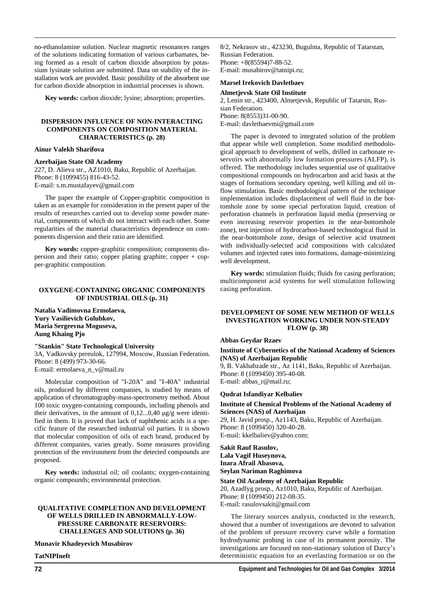no-ethanolamine solution. Nuclear magnetic resonances ranges of the solutions indicating formation of various carbamates, being formed as a result of carbon dioxide absorption by potassium lysinate solution are submitted. Data on stability of the installation work are provided. Basic possibility of the absorbent use for carbon dioxide absorption in industrial processes is shown.

**Key words:** carbon dioxide; lysine; absorption; properties.

# **DISPERSION INFLUENCE OF NON-INTERACTING COMPONENTS ON COMPOSITION MATERIAL CHARACTERISTICS (p. 28)**

#### **Ainur Valekh Sharifova**

**Azerbaijan State Oil Academy**  227, D. Alieva str., AZ1010, Baku, Republic of Azerbaijan. Phone: 8 (1099455) 816-43-52. E-mail: s.m.mustafayev@gmail.com

The paper the example of Copper-graphitic composition is taken as an example for consideration in the present paper of the results of researches carried out to develop some powder material, components of which do not interact with each other. Some regularities of the material characteristics dependence on components dispersion and their ratio are identified.

**Key words:** copper-graphitic composition; components dispersion and their ratio; copper plating graphite; copper + copper-graphitic composition.

# **OXYGENE-CONTAINING ORGANIC COMPONENTS OF INDUSTRIAL OILS (p. 31)**

**Natalia Vadimovna Ermolaeva, Yury Vasilievich Golubkov, Maria Sergeevna Moguseva, Aung Khaing Pjo** 

#### **"Stankin" State Technological University**

3A, Vadkovsky pereulok, 127994, Moscow, Russian Federation. Phone: 8 (499) 973-30-66. E-mail: ermolaeva\_n\_v@mail.ru

Molecular composition of "I-20A" and "I-40A" industrial oils, produced by different companies, is studied by means of application of chromatography-mass-spectrometry method. About 100 toxic oxygen-containing compounds, including phenols and their derivatives, in the amount of 0,12...0,40 μg/g were identified in them. It is proved that lack of naphthenic acids is a specific feature of the researched industrial oil parties. It is shown that molecular composition of oils of each brand, produced by different companies, varies greatly. Some measures providing protection of the environment from the detected compounds are proposed.

**Key words:** industrial oil; oil coolants; oxygen-containing organic compounds; environmental protection.

# **QUALITATIVE COMPLETION AND DEVELOPMENT OF WELLS DRILLED IN ABNORMALLY-LOW-PRESSURE CARBONATE RESERVOIRS: CHALLENGES AND SOLUTIONS (p. 36)**

**Munavir Khadeyevich Musabirov** 

**TatNIPIneft** 

8/2, Nekrasov str., 423230, Bugulma, Republic of Tatarstan, Russian Federation. Phone: +8(85594)7-88-52. E-mail: musabirov@tatnipi.ru;

#### **Marsel Irekovich Davletbaev**

#### **Almetjevsk State Oil Institute**

2, Lenin str., 423400, Almetjevsk, Republic of Tatarstn, Russian Federation. Phone: 8(8553)31-00-90. E-mail: davletbaevmi@gmail.com

The paper is devoted to integrated solution of the problem that appear while well completion. Some modified methodological approach to development of wells, drilled in carbonate reservoirs with abnormally low formation pressures (ALFP), is offered. The methodology includes sequential use of qualitative compositional compounds on hydrocarbon and acid basis at the stages of formations secondary opening, well killing and oil inflow stimulation. Basic methodological pattern of the technique implementation includes displacement of well fluid in the bottomhole zone by some special perforation liquid, creation of perforation channels in perforation liquid media (preserving or even increasing reservoir properties in the near-bottomhole zone), test injection of hydrocarbon-based technological fluid in the near-bottomhole zone, design of selective acid treatment with individually-selected acid compositions with calculated volumes and injected rates into formations, damage-minimizing well development.

**Key words:** stimulation fluids; fluids for casing perforation; multicomponent acid systems for well stimulation following casing perforation.

# **DEVELOPMENT OF SOME NEW METHOD OF WELLS INVESTIGATION WORKING UNDER NON-STEADY FLOW (p. 38)**

#### **Abbas Geydar Rzaev**

#### **Institute of Cybernetics of the National Academy of Sciences (NAS) of Azerbaijan Republic**

9, B. Vakhabzade str., Az 1141, Baku, Republic of Azerbaijan. Phone: 8 (1099450) 395-40-08. E-mail: abbas\_r@mail.ru;

**Qudrat Isfandiyar Kelbaliev** 

**Institute of Chemical Problems of the National Academy of Sciences (NAS) of Azerbaijan**  29, H. Javid prosp., Az1143, Baku, Republic of Azerbaijan.

Phone: 8 (1099450) 320-40-28. Е-mail: kkelbaliev@yahoo.com;

# **Sakit Rauf Rasulov, Lala Vagif Huseynova, Inara Afrail Abasova, Seylan Nariman Raghimova**

# **State Oil Academy of Azerbaijan Republic**

20, Azadlyg prosp., Az1010, Baku, Republic of Azerbaijan. Phone: 8 (1099450) 212-08-35. E-mail: rasulovsakit@gmail.com

The literary sources analysis, conducted in the research, showed that a number of investigations are devoted to salvation of the problem of pressure recovery curve while a formation hydrodynamic probing in case of its permanent porosity. The investigations are focused on non-stationary solution of Darcy's deterministic equation for an everlasting formation or on the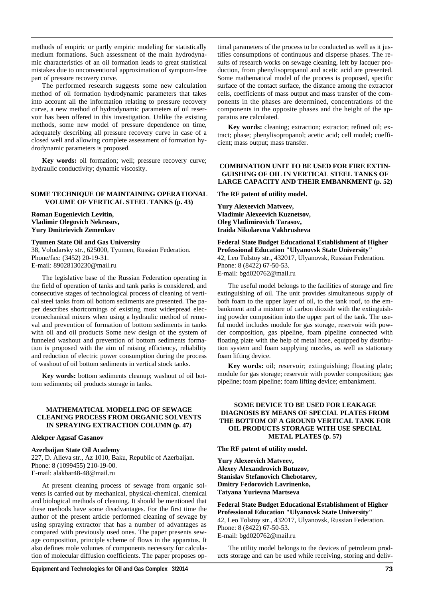methods of empiric or partly empiric modeling for statistically medium formations. Such assessment of the main hydrodynamic characteristics of an oil formation leads to great statistical mistakes due to unconventional approximation of symptom-free part of pressure recovery curve.

The performed research suggests some new calculation method of oil formation hydrodynamic parameters that takes into account all the information relating to pressure recovery curve, a new method of hydrodynamic parameters of oil reservoir has been offered in this investigation. Unlike the existing methods, some new model of pressure dependence on time, adequately describing all pressure recovery curve in case of a closed well and allowing complete assessment of formation hydrodynamic parameters is proposed.

**Key words:** oil formation; well; pressure recovery curve; hydraulic conductivity; dynamic viscosity.

#### **SOME TECHNIQUE OF MAINTAINING OPERATIONAL VOLUME OF VERTICAL STEEL TANKS (p. 43)**

**Roman Eugenievich Levitin, Vladimir Olegovich Nekrasov, Yury Dmitrievich Zemenkov** 

#### **Tyumen State Oil and Gas University**

38, Volodarsky str., 625000, Tyumen, Russian Federation. Phone/fax: (3452) 20-19-31. E-mail: 89028130230@mail.ru

The legislative base of the Russian Federation operating in the field of operation of tanks and tank parks is considered, and consecutive stages of technological process of cleaning of vertical steel tanks from oil bottom sediments are presented. The paper describes shortcomings of existing most widespread electromechanical mixers when using a hydraulic method of removal and prevention of formation of bottom sediments in tanks with oil and oil products Some new design of the system of funneled washout and prevention of bottom sediments formation is proposed with the aim of raising efficiency, reliability and reduction of electric power consumption during the process of washout of oil bottom sediments in vertical stock tanks.

**Key words:** bottom sediments cleanup; washout of oil bottom sediments; oil products storage in tanks.

# **MATHEMATICAL MODELLING OF SEWAGE CLEANING PROCESS FROM ORGANIC SOLVENTS IN SPRAYING EXTRACTION COLUMN (p. 47)**

#### **Alekper Agasaf Gasanov**

#### **Azerbaijan State Oil Academy**

227, D. Alieva str., Az 1010, Baku, Republic of Azerbaijan. Phone: 8 (1099455) 210-19-00. E-mail: alakbar48-48@mail.ru

At present cleaning process of sewage from organic solvents is carried out by mechanical, physical-chemical, chemical and biological methods of cleaning. It should be mentioned that these methods have some disadvantages. For the first time the author of the present article performed cleaning of sewage by using spraying extractor that has a number of advantages as compared with previously used ones. The paper presents sewage composition, principle scheme of flows in the apparatus. It also defines mole volumes of components necessary for calculation of molecular diffusion coefficients. The paper proposes optimal parameters of the process to be conducted as well as it justifies consumptions of continuous and disperse phases. The results of research works on sewage cleaning, left by lacquer production, from phenylisopropanol and acetic acid are presented. Some mathematical model of the process is proposed, specific surface of the contact surface, the distance among the extractor cells, coefficients of mass output and mass transfer of the components in the phases are determined, concentrations of the components in the opposite phases and the height of the apparatus are calculated.

**Key words:** cleaning; extraction; extractor; refined oil; extract; phase; phenylisopropanol; acetic acid; cell model; coefficient; mass output; mass transfer.

# **COMBINATION UNIT TO BE USED FOR FIRE EXTIN-GUISHING OF OIL IN VERTICAL STEEL TANKS OF LARGE CAPACITY AND THEIR EMBANKMENT (p. 52)**

**The RF patent of utility model.** 

**Yury Alexeevich Matveev, Vladimir Alexeevich Kuznetsov, Oleg Vladimirovich Tarasov, Iraida Nikolaevna Vakhrusheva** 

**Federal State Budget Educational Establishment of Higher Professional Education "Ulyanovsk State University"**  42, Leo Tolstoy str., 432017, Ulyanovsk, Russian Federation. Phone: 8 (8422) 67-50-53. E-mail: bgd020762@mail.ru

The useful model belongs to the facilities of storage and fire extinguishing of oil. The unit provides simultaneous supply of both foam to the upper layer of oil, to the tank roof, to the embankment and a mixture of carbon dioxide with the extinguishing powder composition into the upper part of the tank. The useful model includes module for gas storage, reservoir with powder composition, gas pipeline, foam pipeline connected with floating plate with the help of metal hose, equipped by distribution system and foam supplying nozzles, as well as stationary foam lifting device.

**Key words:** oil; reservoir; extinguishing; floating plate; module for gas storage; reservoir with powder composition; gas pipeline; foam pipeline; foam lifting device; embankment.

# **SOME DEVICE TO BE USED FOR LEAKAGE DIAGNOSIS BY MEANS OF SPECIAL PLATES FROM THE BOTTOM OF A GROUND VERTICAL TANK FOR OIL PRODUCTS STORAGE WITH USE SPECIAL METAL PLATES (p. 57)**

**The RF patent of utility model.** 

**Yury Alexeevich Matveev, Alexey Alexandrovich Butuzov, Stanislav Stefanovich Chebotarev, Dmitry Fedorovich Lavrinenko, Tatyana Yurievna Martseva** 

**Federal State Budget Educational Establishment of Higher Professional Education "Ulyanovsk State University"**  42, Leo Tolstoy str., 432017, Ulyanovsk, Russian Federation. Phone: 8 (8422) 67-50-53. E-mail: bgd020762@mail.ru

The utility model belongs to the devices of petroleum products storage and can be used while receiving, storing and deliv